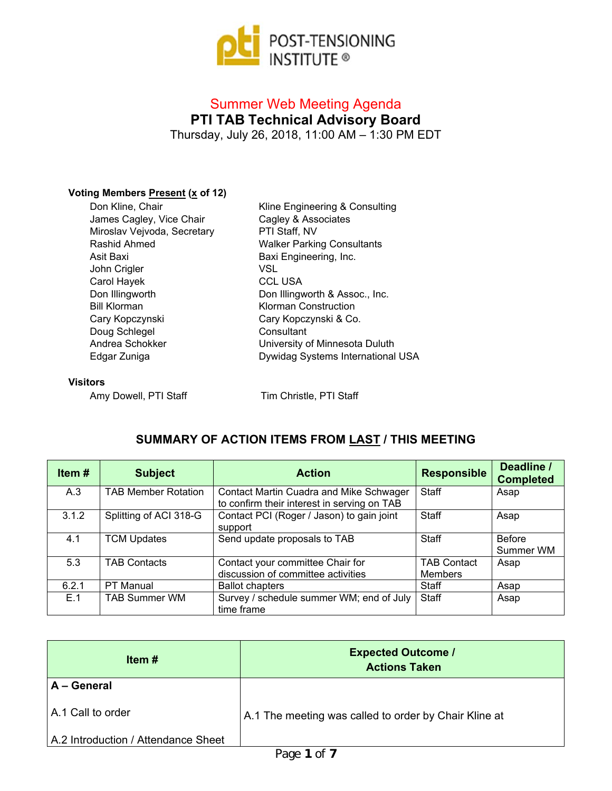

# Summer Web Meeting Agenda **PTI TAB Technical Advisory Board** Thursday, July 26, 2018, 11:00 AM – 1:30 PM EDT

### **Voting Members Present (x of 12)**

| Don Kline, Chair            |
|-----------------------------|
| James Cagley, Vice Chair    |
| Miroslav Vejvoda, Secretary |
| Rashid Ahmed                |
| Asit Baxi                   |
| John Crigler                |
| Carol Hayek                 |
| Don Illingworth             |
| Bill Klorman                |
| Cary Kopczynski             |
| Doug Schlegel               |
| Andrea Schokker             |
| Edgar Zuniga                |

Kline Engineering & Consulting Cagley & Associates PTI Staff, NV Walker Parking Consultants Baxi Engineering, Inc. VSL CCL USA Don Illingworth & Assoc., Inc. Klorman Construction Cary Kopczynski & Co. **Consultant** University of Minnesota Duluth Dywidag Systems International USA

#### **Visitors**

Amy Dowell, PTI Staff Tim Christle, PTI Staff

## **SUMMARY OF ACTION ITEMS FROM LAST / THIS MEETING**

| Item# | <b>Subject</b>             | <b>Action</b>                                                                                 | <b>Responsible</b>                   | Deadline /<br><b>Completed</b> |
|-------|----------------------------|-----------------------------------------------------------------------------------------------|--------------------------------------|--------------------------------|
| A.3   | <b>TAB Member Rotation</b> | <b>Contact Martin Cuadra and Mike Schwager</b><br>to confirm their interest in serving on TAB | Staff                                | Asap                           |
| 3.1.2 | Splitting of ACI 318-G     | Contact PCI (Roger / Jason) to gain joint<br>support                                          | Staff                                | Asap                           |
| 4.1   | <b>TCM Updates</b>         | Send update proposals to TAB                                                                  | Staff                                | <b>Before</b><br>Summer WM     |
| 5.3   | <b>TAB Contacts</b>        | Contact your committee Chair for<br>discussion of committee activities                        | <b>TAB Contact</b><br><b>Members</b> | Asap                           |
| 6.2.1 | PT Manual                  | <b>Ballot chapters</b>                                                                        | Staff                                | Asap                           |
| E.1   | <b>TAB Summer WM</b>       | Survey / schedule summer WM; end of July<br>time frame                                        | Staff                                | Asap                           |

| Item $#$                            | <b>Expected Outcome /</b><br><b>Actions Taken</b>     |
|-------------------------------------|-------------------------------------------------------|
| A - General                         |                                                       |
| A.1 Call to order                   | A.1 The meeting was called to order by Chair Kline at |
| A.2 Introduction / Attendance Sheet |                                                       |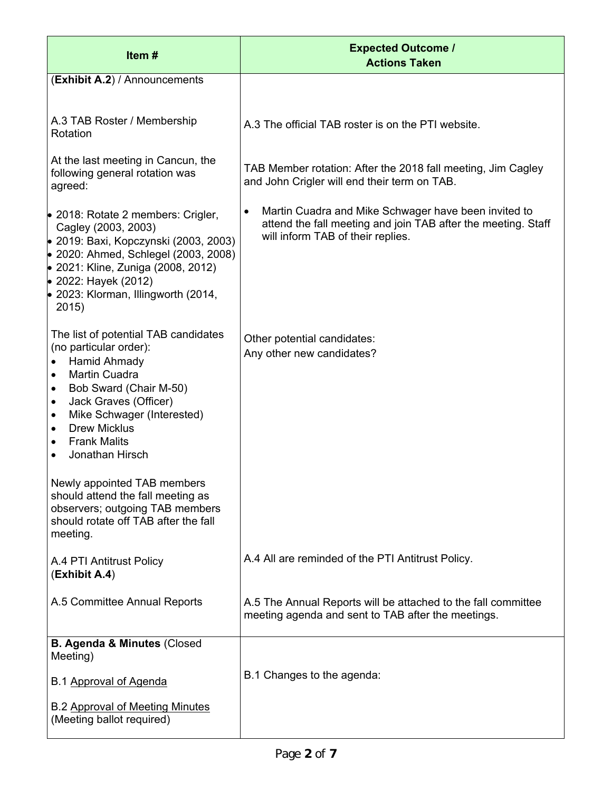| Item#                                                                                                                                                                                                                                                                                                                                     | <b>Expected Outcome /</b><br><b>Actions Taken</b>                                                                                                          |
|-------------------------------------------------------------------------------------------------------------------------------------------------------------------------------------------------------------------------------------------------------------------------------------------------------------------------------------------|------------------------------------------------------------------------------------------------------------------------------------------------------------|
| (Exhibit A.2) / Announcements                                                                                                                                                                                                                                                                                                             |                                                                                                                                                            |
| A.3 TAB Roster / Membership<br>Rotation<br>At the last meeting in Cancun, the                                                                                                                                                                                                                                                             | A.3 The official TAB roster is on the PTI website.                                                                                                         |
| following general rotation was<br>agreed:                                                                                                                                                                                                                                                                                                 | TAB Member rotation: After the 2018 fall meeting, Jim Cagley<br>and John Crigler will end their term on TAB.                                               |
| • 2018: Rotate 2 members: Crigler,<br>Cagley (2003, 2003)<br>• 2019: Baxi, Kopczynski (2003, 2003)<br>● 2020: Ahmed, Schlegel (2003, 2008)<br>• 2021: Kline, Zuniga (2008, 2012)<br>• 2022: Hayek (2012)<br>$\bullet$ 2023: Klorman, Illingworth (2014,<br>2015)                                                                          | Martin Cuadra and Mike Schwager have been invited to<br>attend the fall meeting and join TAB after the meeting. Staff<br>will inform TAB of their replies. |
| The list of potential TAB candidates<br>(no particular order):<br>Hamid Ahmady<br>$\bullet$<br>Martin Cuadra<br>$\bullet$<br>Bob Sward (Chair M-50)<br>$\bullet$<br>Jack Graves (Officer)<br>$\bullet$<br>Mike Schwager (Interested)<br>٠<br><b>Drew Micklus</b><br>$\bullet$<br><b>Frank Malits</b><br>٠<br>Jonathan Hirsch<br>$\bullet$ | Other potential candidates:<br>Any other new candidates?                                                                                                   |
| Newly appointed TAB members<br>should attend the fall meeting as<br>observers; outgoing TAB members<br>should rotate off TAB after the fall<br>meeting.                                                                                                                                                                                   |                                                                                                                                                            |
| A.4 PTI Antitrust Policy<br>(Exhibit A.4)                                                                                                                                                                                                                                                                                                 | A.4 All are reminded of the PTI Antitrust Policy.                                                                                                          |
| A.5 Committee Annual Reports                                                                                                                                                                                                                                                                                                              | A.5 The Annual Reports will be attached to the fall committee<br>meeting agenda and sent to TAB after the meetings.                                        |
| <b>B. Agenda &amp; Minutes (Closed</b><br>Meeting)                                                                                                                                                                                                                                                                                        |                                                                                                                                                            |
| B.1 Approval of Agenda                                                                                                                                                                                                                                                                                                                    | B.1 Changes to the agenda:                                                                                                                                 |
| <b>B.2 Approval of Meeting Minutes</b><br>(Meeting ballot required)                                                                                                                                                                                                                                                                       |                                                                                                                                                            |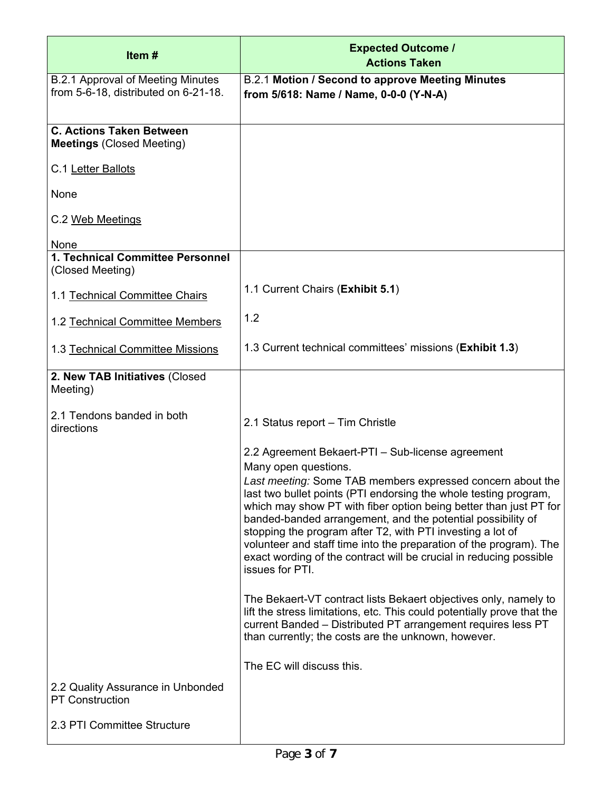| Item#                                                                            | <b>Expected Outcome /</b><br><b>Actions Taken</b>                                                                                                                                                                                                                                                                                                                                                                                                                                                                       |
|----------------------------------------------------------------------------------|-------------------------------------------------------------------------------------------------------------------------------------------------------------------------------------------------------------------------------------------------------------------------------------------------------------------------------------------------------------------------------------------------------------------------------------------------------------------------------------------------------------------------|
| <b>B.2.1 Approval of Meeting Minutes</b><br>from 5-6-18, distributed on 6-21-18. | B.2.1 Motion / Second to approve Meeting Minutes<br>from 5/618: Name / Name, 0-0-0 (Y-N-A)                                                                                                                                                                                                                                                                                                                                                                                                                              |
| <b>C. Actions Taken Between</b><br><b>Meetings (Closed Meeting)</b>              |                                                                                                                                                                                                                                                                                                                                                                                                                                                                                                                         |
| C.1 Letter Ballots                                                               |                                                                                                                                                                                                                                                                                                                                                                                                                                                                                                                         |
| None                                                                             |                                                                                                                                                                                                                                                                                                                                                                                                                                                                                                                         |
| C.2 Web Meetings                                                                 |                                                                                                                                                                                                                                                                                                                                                                                                                                                                                                                         |
| None<br>1. Technical Committee Personnel                                         |                                                                                                                                                                                                                                                                                                                                                                                                                                                                                                                         |
| (Closed Meeting)                                                                 |                                                                                                                                                                                                                                                                                                                                                                                                                                                                                                                         |
| 1.1 Technical Committee Chairs                                                   | 1.1 Current Chairs (Exhibit 5.1)                                                                                                                                                                                                                                                                                                                                                                                                                                                                                        |
| 1.2 Technical Committee Members                                                  | 1.2                                                                                                                                                                                                                                                                                                                                                                                                                                                                                                                     |
| 1.3 Technical Committee Missions                                                 | 1.3 Current technical committees' missions (Exhibit 1.3)                                                                                                                                                                                                                                                                                                                                                                                                                                                                |
| 2. New TAB Initiatives (Closed<br>Meeting)                                       |                                                                                                                                                                                                                                                                                                                                                                                                                                                                                                                         |
| 2.1 Tendons banded in both<br>directions                                         | 2.1 Status report - Tim Christle                                                                                                                                                                                                                                                                                                                                                                                                                                                                                        |
|                                                                                  | 2.2 Agreement Bekaert-PTI - Sub-license agreement                                                                                                                                                                                                                                                                                                                                                                                                                                                                       |
|                                                                                  | Many open questions.<br>Last meeting: Some TAB members expressed concern about the<br>last two bullet points (PTI endorsing the whole testing program,<br>which may show PT with fiber option being better than just PT for<br>banded-banded arrangement, and the potential possibility of<br>stopping the program after T2, with PTI investing a lot of<br>volunteer and staff time into the preparation of the program). The<br>exact wording of the contract will be crucial in reducing possible<br>issues for PTI. |
|                                                                                  | The Bekaert-VT contract lists Bekaert objectives only, namely to<br>lift the stress limitations, etc. This could potentially prove that the<br>current Banded - Distributed PT arrangement requires less PT<br>than currently; the costs are the unknown, however.                                                                                                                                                                                                                                                      |
|                                                                                  | The EC will discuss this.                                                                                                                                                                                                                                                                                                                                                                                                                                                                                               |
| 2.2 Quality Assurance in Unbonded<br><b>PT Construction</b>                      |                                                                                                                                                                                                                                                                                                                                                                                                                                                                                                                         |
| 2.3 PTI Committee Structure                                                      |                                                                                                                                                                                                                                                                                                                                                                                                                                                                                                                         |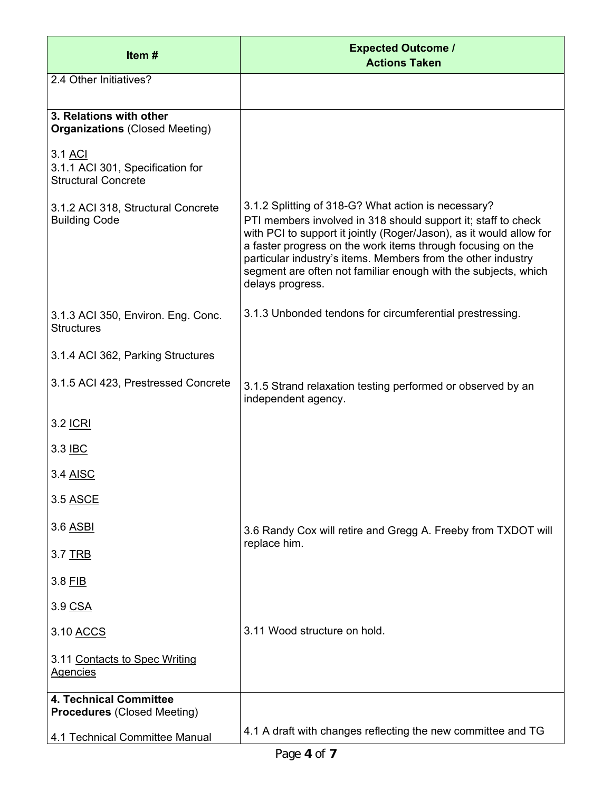| Item#                                                                     | <b>Expected Outcome /</b><br><b>Actions Taken</b>                                                                                                                                                                                                                                                                                                                                                                |
|---------------------------------------------------------------------------|------------------------------------------------------------------------------------------------------------------------------------------------------------------------------------------------------------------------------------------------------------------------------------------------------------------------------------------------------------------------------------------------------------------|
| 2.4 Other Initiatives?                                                    |                                                                                                                                                                                                                                                                                                                                                                                                                  |
| 3. Relations with other<br><b>Organizations (Closed Meeting)</b>          |                                                                                                                                                                                                                                                                                                                                                                                                                  |
| 3.1 ACI<br>3.1.1 ACI 301, Specification for<br><b>Structural Concrete</b> |                                                                                                                                                                                                                                                                                                                                                                                                                  |
| 3.1.2 ACI 318, Structural Concrete<br><b>Building Code</b>                | 3.1.2 Splitting of 318-G? What action is necessary?<br>PTI members involved in 318 should support it; staff to check<br>with PCI to support it jointly (Roger/Jason), as it would allow for<br>a faster progress on the work items through focusing on the<br>particular industry's items. Members from the other industry<br>segment are often not familiar enough with the subjects, which<br>delays progress. |
| 3.1.3 ACI 350, Environ. Eng. Conc.<br><b>Structures</b>                   | 3.1.3 Unbonded tendons for circumferential prestressing.                                                                                                                                                                                                                                                                                                                                                         |
| 3.1.4 ACI 362, Parking Structures                                         |                                                                                                                                                                                                                                                                                                                                                                                                                  |
| 3.1.5 ACI 423, Prestressed Concrete                                       | 3.1.5 Strand relaxation testing performed or observed by an<br>independent agency.                                                                                                                                                                                                                                                                                                                               |
| 3.2 <u>ICRI</u>                                                           |                                                                                                                                                                                                                                                                                                                                                                                                                  |
| 3.3 IBC                                                                   |                                                                                                                                                                                                                                                                                                                                                                                                                  |
| 3.4 <u>AISC</u>                                                           |                                                                                                                                                                                                                                                                                                                                                                                                                  |
| 3.5 ASCE                                                                  |                                                                                                                                                                                                                                                                                                                                                                                                                  |
| 3.6 ASBI                                                                  | 3.6 Randy Cox will retire and Gregg A. Freeby from TXDOT will                                                                                                                                                                                                                                                                                                                                                    |
| 3.7 <u>TRB</u>                                                            | replace him.                                                                                                                                                                                                                                                                                                                                                                                                     |
| 3.8 FIB                                                                   |                                                                                                                                                                                                                                                                                                                                                                                                                  |
| 3.9 CSA                                                                   |                                                                                                                                                                                                                                                                                                                                                                                                                  |
| 3.10 ACCS                                                                 | 3.11 Wood structure on hold.                                                                                                                                                                                                                                                                                                                                                                                     |
| 3.11 Contacts to Spec Writing<br><b>Agencies</b>                          |                                                                                                                                                                                                                                                                                                                                                                                                                  |
| <b>4. Technical Committee</b><br><b>Procedures (Closed Meeting)</b>       |                                                                                                                                                                                                                                                                                                                                                                                                                  |
| 4.1 Technical Committee Manual                                            | 4.1 A draft with changes reflecting the new committee and TG                                                                                                                                                                                                                                                                                                                                                     |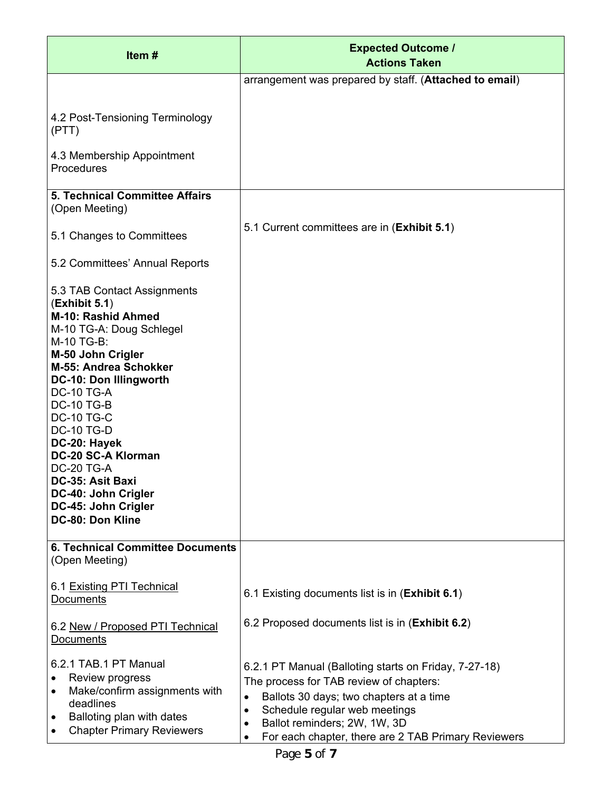| Item#                                                                                                                                                                                                                                                                                                                                                                                                                            | <b>Expected Outcome /</b><br><b>Actions Taken</b>                                                                                                                                                                                                                                                          |
|----------------------------------------------------------------------------------------------------------------------------------------------------------------------------------------------------------------------------------------------------------------------------------------------------------------------------------------------------------------------------------------------------------------------------------|------------------------------------------------------------------------------------------------------------------------------------------------------------------------------------------------------------------------------------------------------------------------------------------------------------|
|                                                                                                                                                                                                                                                                                                                                                                                                                                  | arrangement was prepared by staff. (Attached to email)                                                                                                                                                                                                                                                     |
| 4.2 Post-Tensioning Terminology<br>(PTT)                                                                                                                                                                                                                                                                                                                                                                                         |                                                                                                                                                                                                                                                                                                            |
| 4.3 Membership Appointment<br>Procedures                                                                                                                                                                                                                                                                                                                                                                                         |                                                                                                                                                                                                                                                                                                            |
| <b>5. Technical Committee Affairs</b><br>(Open Meeting)                                                                                                                                                                                                                                                                                                                                                                          |                                                                                                                                                                                                                                                                                                            |
| 5.1 Changes to Committees                                                                                                                                                                                                                                                                                                                                                                                                        | 5.1 Current committees are in (Exhibit 5.1)                                                                                                                                                                                                                                                                |
| 5.2 Committees' Annual Reports                                                                                                                                                                                                                                                                                                                                                                                                   |                                                                                                                                                                                                                                                                                                            |
| 5.3 TAB Contact Assignments<br>(Exhibit 5.1)<br>M-10: Rashid Ahmed<br>M-10 TG-A: Doug Schlegel<br>M-10 TG-B:<br>M-50 John Crigler<br>M-55: Andrea Schokker<br><b>DC-10: Don Illingworth</b><br><b>DC-10 TG-A</b><br><b>DC-10 TG-B</b><br><b>DC-10 TG-C</b><br><b>DC-10 TG-D</b><br>DC-20: Hayek<br>DC-20 SC-A Klorman<br><b>DC-20 TG-A</b><br>DC-35: Asit Baxi<br>DC-40: John Crigler<br>DC-45: John Crigler<br>DC-80: Don Kline |                                                                                                                                                                                                                                                                                                            |
| <b>6. Technical Committee Documents</b><br>(Open Meeting)                                                                                                                                                                                                                                                                                                                                                                        |                                                                                                                                                                                                                                                                                                            |
| 6.1 Existing PTI Technical<br>Documents                                                                                                                                                                                                                                                                                                                                                                                          | 6.1 Existing documents list is in ( <b>Exhibit 6.1</b> )                                                                                                                                                                                                                                                   |
| 6.2 New / Proposed PTI Technical<br><b>Documents</b>                                                                                                                                                                                                                                                                                                                                                                             | 6.2 Proposed documents list is in ( <b>Exhibit 6.2</b> )                                                                                                                                                                                                                                                   |
| 6.2.1 TAB.1 PT Manual<br>Review progress<br>٠<br>Make/confirm assignments with<br>$\bullet$<br>deadlines<br>Balloting plan with dates<br>٠<br><b>Chapter Primary Reviewers</b><br>$\bullet$                                                                                                                                                                                                                                      | 6.2.1 PT Manual (Balloting starts on Friday, 7-27-18)<br>The process for TAB review of chapters:<br>Ballots 30 days; two chapters at a time<br>$\bullet$<br>Schedule regular web meetings<br>$\bullet$<br>Ballot reminders; 2W, 1W, 3D<br>$\bullet$<br>For each chapter, there are 2 TAB Primary Reviewers |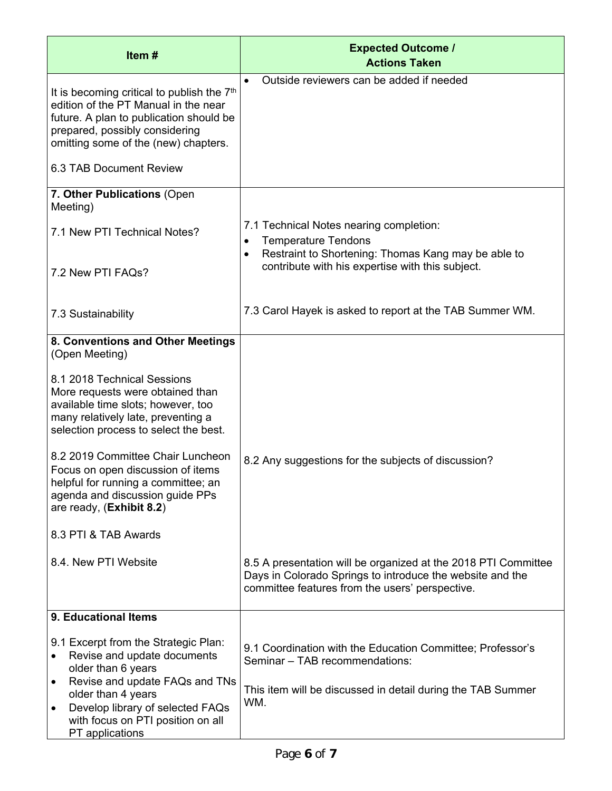| Item#                                                                                                                                                                                                                                                                                | <b>Expected Outcome /</b><br><b>Actions Taken</b>                                                                                                                              |
|--------------------------------------------------------------------------------------------------------------------------------------------------------------------------------------------------------------------------------------------------------------------------------------|--------------------------------------------------------------------------------------------------------------------------------------------------------------------------------|
| It is becoming critical to publish the 7 <sup>th</sup><br>edition of the PT Manual in the near<br>future. A plan to publication should be<br>prepared, possibly considering<br>omitting some of the (new) chapters.                                                                  | Outside reviewers can be added if needed                                                                                                                                       |
| 6.3 TAB Document Review                                                                                                                                                                                                                                                              |                                                                                                                                                                                |
| 7. Other Publications (Open<br>Meeting)                                                                                                                                                                                                                                              |                                                                                                                                                                                |
| 7.1 New PTI Technical Notes?                                                                                                                                                                                                                                                         | 7.1 Technical Notes nearing completion:<br><b>Temperature Tendons</b><br>$\bullet$                                                                                             |
| 7.2 New PTI FAQs?                                                                                                                                                                                                                                                                    | Restraint to Shortening: Thomas Kang may be able to<br>$\bullet$<br>contribute with his expertise with this subject.                                                           |
| 7.3 Sustainability                                                                                                                                                                                                                                                                   | 7.3 Carol Hayek is asked to report at the TAB Summer WM.                                                                                                                       |
| 8. Conventions and Other Meetings<br>(Open Meeting)                                                                                                                                                                                                                                  |                                                                                                                                                                                |
| 8.1 2018 Technical Sessions<br>More requests were obtained than<br>available time slots; however, too<br>many relatively late, preventing a<br>selection process to select the best.                                                                                                 |                                                                                                                                                                                |
| 8.2 2019 Committee Chair Luncheon<br>Focus on open discussion of items<br>helpful for running a committee; an<br>agenda and discussion guide PPs<br>are ready, (Exhibit 8.2)                                                                                                         | 8.2 Any suggestions for the subjects of discussion?                                                                                                                            |
| 8.3 PTI & TAB Awards                                                                                                                                                                                                                                                                 |                                                                                                                                                                                |
| 8.4. New PTI Website                                                                                                                                                                                                                                                                 | 8.5 A presentation will be organized at the 2018 PTI Committee<br>Days in Colorado Springs to introduce the website and the<br>committee features from the users' perspective. |
| 9. Educational Items                                                                                                                                                                                                                                                                 |                                                                                                                                                                                |
| 9.1 Excerpt from the Strategic Plan:<br>Revise and update documents<br>$\bullet$<br>older than 6 years<br>Revise and update FAQs and TNs<br>$\bullet$<br>older than 4 years<br>Develop library of selected FAQs<br>$\bullet$<br>with focus on PTI position on all<br>PT applications | 9.1 Coordination with the Education Committee; Professor's<br>Seminar - TAB recommendations:<br>This item will be discussed in detail during the TAB Summer<br>WM.             |